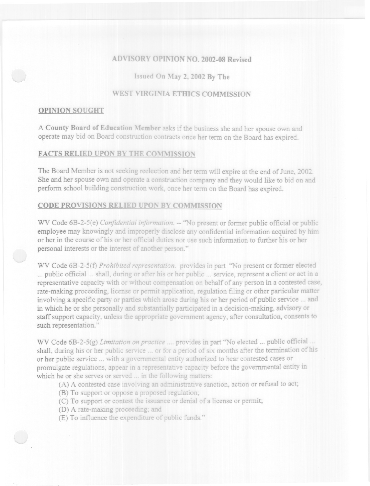# **ADVISORY OPINION NO. 2002-08 Revised**

Issued On May 2, 2002 By The

# **WEST VIRGINIA ETHICS COMMISSION**

### **OPINION SOUGHT**

A County Board of Education Member asks if the business she and her spouse own and operate may bid on Board construction contracts once her term on the Board has expired.

### **FACTS RELIED UPON BY THE COMMISSION**

The Board Member is not seeking reelection and her term will expire at the end of June, 2002. She and her spouse own and operate a construction company and they would like to bid on and perform school building construction work, once her term on the Board has expired.

## **CODE PROVISIONS RELIED UPON BY COMMISSION**

WV Code 6B-2-5(e) Confidential information. -- "No present or former public official or public emplovee may knowingly and improperly disclose any confidential information acquired by him or her in the course of his or her official duties nor use such information to further his or her personal interests or the interest of another person."

WV Code 6B-2-5(f) Prohibited representation. provides in part "No present or former elected ... public official ... shall, during or after his or her public ... service, represent a client or act in a representative capacity with or without compensation on behalf of any person in a contested case, rate-making proceeding, license or permit application, regulation filing or other particular matter involving a specific party or parties which arose during his or her period of public service ... and in which he or she personally and substantially participated in a decision-making, advisory or staff support capacity, unless the appropriate government agency, after consultation, consents to such representation."

WV Code 6B-2-5(g) Limitation on practice .... provides in part "No elected ... public official ... shall, during his or her public service ... or for a period of six months after the termination of his or her public service ... with a governmental entity authorized to hear contested cases or promulgate regulations, appear in a representative capacity before the governmental entity in which he or she serves or served ... in the following matters:

- (A) A contested case involving an administrative sanction, action or refusal to act;
- (B) To support or oppose a proposed regulation;
- (C) To support or contest the issuance or denial of a license or permit;
- (D) A rate-making proceeding; and
- (E) To influence the expenditure of public funds."